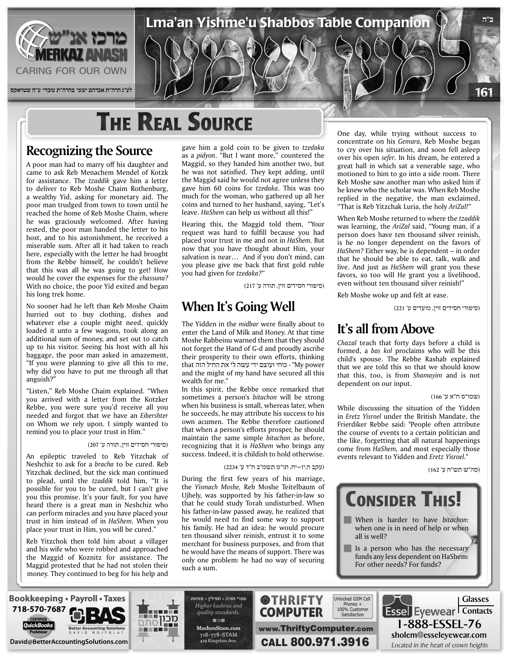

# **THE REAL SOURCE**

## **Recognizing the Source**

A poor man had to marry off his daughter and came to ask Reb Menachem Mendel of Kotzk for assistance. The *tzaddik* gave him a letter to deliver to Reb Moshe Chaim Rothenburg, a wealthy Yid, asking for monetary aid. The poor man trudged from town to town until he reached the home of Reb Moshe Chaim, where he was graciously welcomed. After having rested, the poor man handed the letter to his host, and to his astonishment, he received a miserable sum. After all it had taken to reach here, especially with the letter he had brought from the Rebbe himself, he couldn't believe that this was all he was going to get! How would he cover the expenses for the *chassuna*? With no choice, the poor Yid exited and began his long trek home.

No sooner had he left than Reb Moshe Chaim hurried out to buy clothing, dishes and whatever else a couple might need, quickly loaded it unto a few wagons, took along an additional sum of money, and set out to catch up to his visitor. Seeing his host with all his baggage, the poor man asked in amazement, "If you were planning to give all this to me, why did you have to put me through all that anguish?"

"Listen," Reb Moshe Chaim explained. "When you arrived with a letter from the Kotzker Rebbe, you were sure you'd receive all you needed and forgot that we have an *Eibershter* on Whom we rely upon. I simply wanted to remind you to place your trust in Him."

### (סיפורי חסידים זוין, תורה ע' 207)

An epileptic traveled to Reb Yitzchak of Neshchiz to ask for a *bracha* to be cured. Reb Yitzchak declined, but the sick man continued to plead, until the tzaddik told him, "It is possible for you to be cured, but I can't give you this promise. It's your fault, for you have heard there is a great man in Neshchiz who can perform miracles and you have placed your trust in him instead of in HaShem. When you place your trust in Him, you will be cured.'

Reb Yitzchok then told him about a villager and his wife who were robbed and approached the Maggid of Koznitz for assistance. The Maggid protested that he had not stolen their money. They continued to beg for his help and gave him a gold coin to be given to tzedaka as a *pidyon*. "But I want more," countered the Maggid, so they handed him another two, but he was not satisfied. They kept adding, until the Maggid said he would not agree unless they gave him 60 coins for *tzedaka*. This was too much for the woman, who gathered up all her coins and turned to her husband, saying, "Let's leave. HaShem can help us without all this!"

Hearing this, the Maggid told them, "Your request was hard to fulfill because you had placed your trust in me and not in HaShem. But now that you have thought about Him, your salvation is near... And if you don't mind, can you please give me back that first gold ruble you had given for tzedaka?"

(סיפורי חסידים זוין, תורה ע' 217)

## **When It's Going Well**

The Yidden in the *midbar* were finally about to enter the Land of Milk and Honey. At that time Moshe Rabbeinu warned them that they should not forget the Hand of G-d and proudly ascribe their prosperity to their own efforts, thinking that החיל הזה את החיל הזה that "- כוחי ועוצם ידי עשה לי and the might of my hand have secured all this wealth for me."

In this spirit, the Rebbe once remarked that sometimes a person's bitachon will be strong when his business is small, whereas later, when he succeeds, he may attribute his success to his own acumen. The Rebbe therefore cautioned that when a person's efforts prosper, he should maintain the same simple bitachon as before, recognizing that it is HaShem who brings any success. Indeed, it is childish to hold otherwise.

(עקב ח,יז–יח, תו"מ תשמ"ב ח"ד ע' 2234)

During the first few years of his marriage, the Yismach Moshe, Reb Moshe Teitelbaum of Ujhely, was supported by his father-in-law so that he could study Torah undisturbed. When his father-in-law passed away, he realized that he would need to find some way to support his family. He had an idea: he would procure ten thousand silver reinish, entrust it to some merchant for business purposes, and from that he would have the means of support. There was only one problem: he had no way of securing such a sum

One day, while trying without success to concentrate on his Gemara, Reb Moshe began to cry over his situation, and soon fell asleep over his open *sefer*. In his dream, he entered a great hall in which sat a venerable sage, who motioned to him to go into a side room. There Reb Moshe saw another man who asked him if he knew who the scholar was. When Reb Moshe replied in the negative, the man exclaimed, "That is Reb Yitzchak Luria, the holy AriZal!"

When Reb Moshe returned to where the tzaddik was learning, the AriZal said, "Young man, if a person does have ten thousand silver reinish. is he no longer dependent on the favors of HaShem? Either way, he is dependent - in order that he should be able to eat, talk, walk and live. And just as *HaShem* will grant you these favors, so too will He grant you a livelihood, even without ten thousand silver reinish!"

Reb Moshe woke up and felt at ease.

(סיפורי חסידים זוין, מועדים ע' 221)

### **It's all from Above**

Chazal teach that forty days before a child is formed, a *bas kol* proclaims who will be this child's spouse. The Rebbe Rashab explained that we are told this so that we should know that this, too, is from Shamayim and is not dependent on our input.

### (שמו"ס ח"א ע' 166)

**ב"ה**

161

While discussing the situation of the Yidden in *Eretz Yisroel* under the British Mandate, the Frierdiker Rebbe said: "People often attribute the course of events to a certain politician and the like, forgetting that all natural happenings come from *HaShem*, and most especially those events relevant to Yidden and *Eretz Yisroel.*"

(סה"ש תש"ח ע' 162)



- **When** is harder to have bitachon: when one is in need of help or when all is well?
- Is a person who has the necessary funds any less dependent on HaShem: For other needs? For funds?